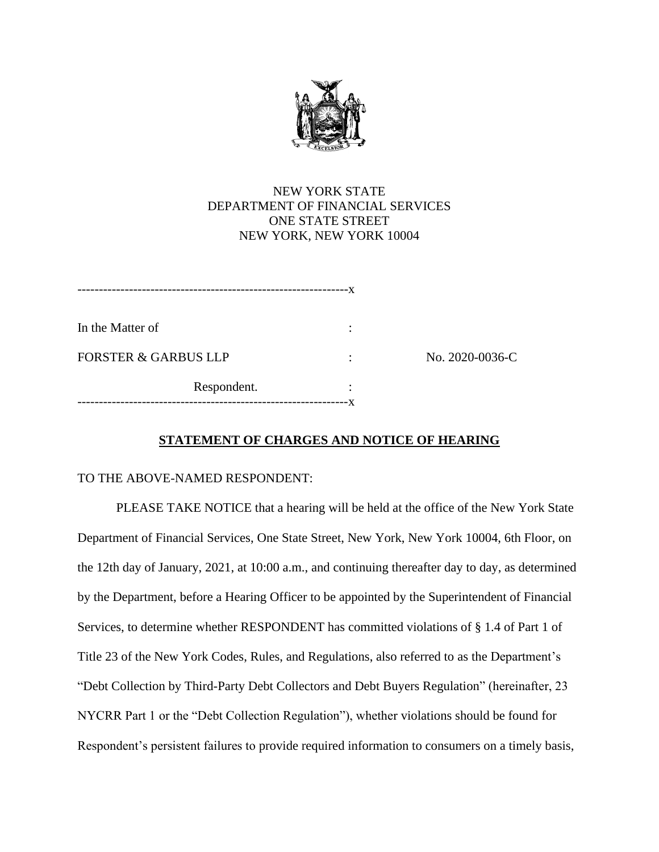

# NEW YORK STATE DEPARTMENT OF FINANCIAL SERVICES ONE STATE STREET NEW YORK, NEW YORK 10004

|                                 | --X |
|---------------------------------|-----|
| In the Matter of                |     |
| <b>FORSTER &amp; GARBUS LLP</b> |     |
| Respondent.                     |     |

No. 2020-0036-C

# **STATEMENT OF CHARGES AND NOTICE OF HEARING**

## TO THE ABOVE-NAMED RESPONDENT:

PLEASE TAKE NOTICE that a hearing will be held at the office of the New York State Department of Financial Services, One State Street, New York, New York 10004, 6th Floor, on the 12th day of January, 2021, at 10:00 a.m., and continuing thereafter day to day, as determined by the Department, before a Hearing Officer to be appointed by the Superintendent of Financial Services, to determine whether RESPONDENT has committed violations of § 1.4 of Part 1 of Title 23 of the New York Codes, Rules, and Regulations, also referred to as the Department's "Debt Collection by Third-Party Debt Collectors and Debt Buyers Regulation" (hereinafter, 23 NYCRR Part 1 or the "Debt Collection Regulation"), whether violations should be found for Respondent's persistent failures to provide required information to consumers on a timely basis,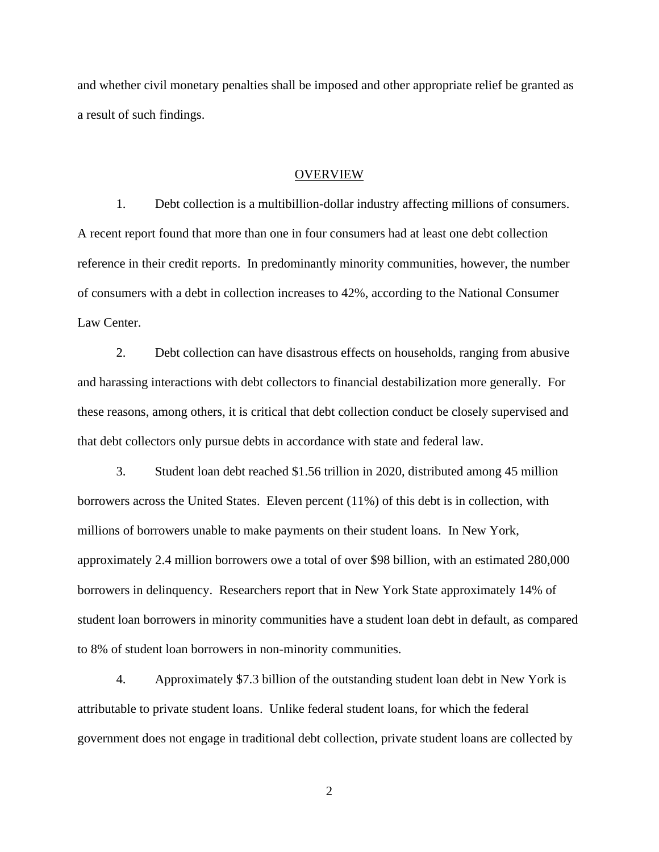and whether civil monetary penalties shall be imposed and other appropriate relief be granted as a result of such findings.

#### OVERVIEW

1. Debt collection is a multibillion-dollar industry affecting millions of consumers. A recent report found that more than one in four consumers had at least one debt collection reference in their credit reports. In predominantly minority communities, however, the number of consumers with a debt in collection increases to 42%, according to the National Consumer Law Center.

2. Debt collection can have disastrous effects on households, ranging from abusive and harassing interactions with debt collectors to financial destabilization more generally. For these reasons, among others, it is critical that debt collection conduct be closely supervised and that debt collectors only pursue debts in accordance with state and federal law.

3. Student loan debt reached \$1.56 trillion in 2020, distributed among 45 million borrowers across the United States. Eleven percent (11%) of this debt is in collection, with millions of borrowers unable to make payments on their student loans. In New York, approximately 2.4 million borrowers owe a total of over \$98 billion, with an estimated 280,000 borrowers in delinquency. Researchers report that in New York State approximately 14% of student loan borrowers in minority communities have a student loan debt in default, as compared to 8% of student loan borrowers in non-minority communities.

4. Approximately \$7.3 billion of the outstanding student loan debt in New York is attributable to private student loans. Unlike federal student loans, for which the federal government does not engage in traditional debt collection, private student loans are collected by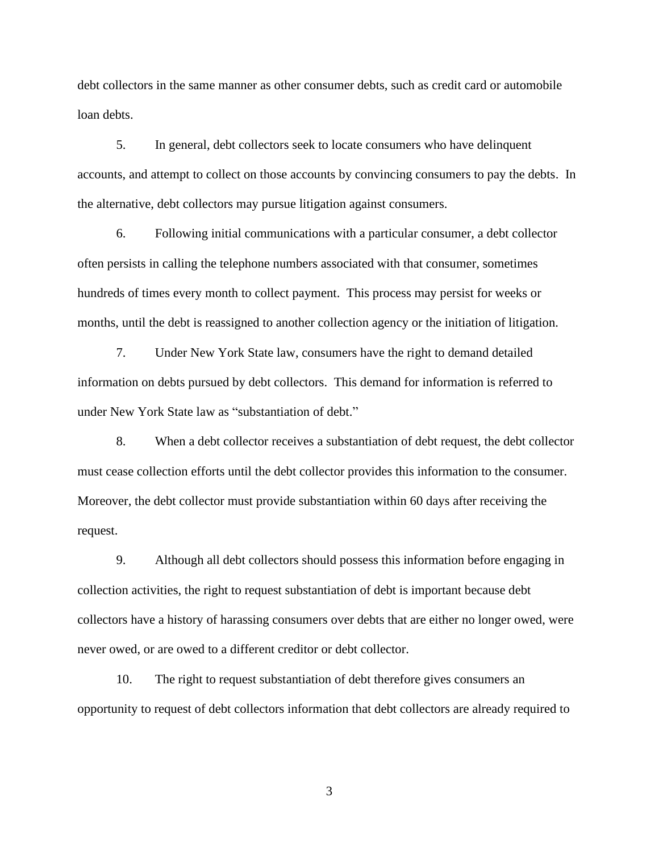debt collectors in the same manner as other consumer debts, such as credit card or automobile loan debts.

5. In general, debt collectors seek to locate consumers who have delinquent accounts, and attempt to collect on those accounts by convincing consumers to pay the debts. In the alternative, debt collectors may pursue litigation against consumers.

6. Following initial communications with a particular consumer, a debt collector often persists in calling the telephone numbers associated with that consumer, sometimes hundreds of times every month to collect payment. This process may persist for weeks or months, until the debt is reassigned to another collection agency or the initiation of litigation.

7. Under New York State law, consumers have the right to demand detailed information on debts pursued by debt collectors. This demand for information is referred to under New York State law as "substantiation of debt."

8. When a debt collector receives a substantiation of debt request, the debt collector must cease collection efforts until the debt collector provides this information to the consumer. Moreover, the debt collector must provide substantiation within 60 days after receiving the request.

9. Although all debt collectors should possess this information before engaging in collection activities, the right to request substantiation of debt is important because debt collectors have a history of harassing consumers over debts that are either no longer owed, were never owed, or are owed to a different creditor or debt collector.

10. The right to request substantiation of debt therefore gives consumers an opportunity to request of debt collectors information that debt collectors are already required to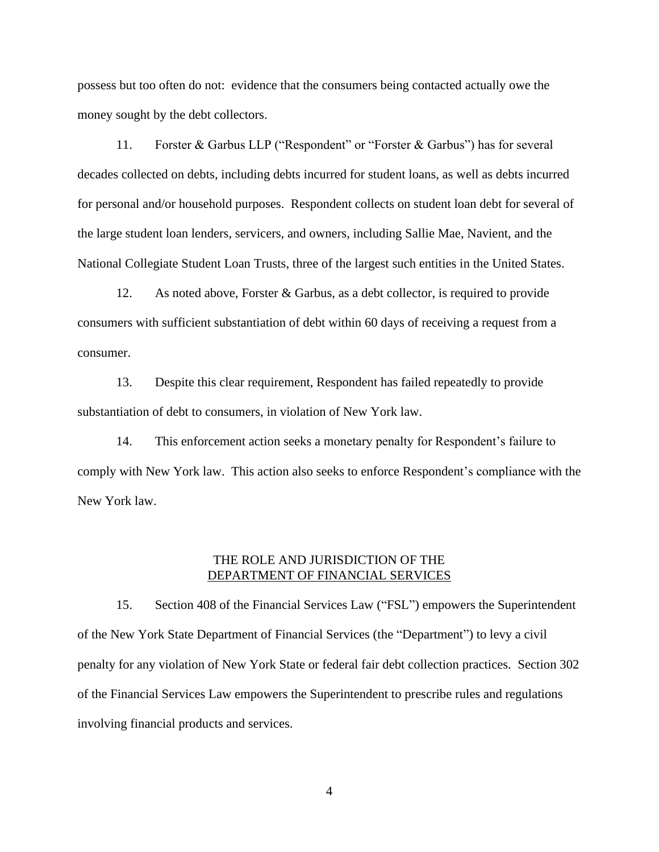possess but too often do not: evidence that the consumers being contacted actually owe the money sought by the debt collectors.

11. Forster & Garbus LLP ("Respondent" or "Forster & Garbus") has for several decades collected on debts, including debts incurred for student loans, as well as debts incurred for personal and/or household purposes. Respondent collects on student loan debt for several of the large student loan lenders, servicers, and owners, including Sallie Mae, Navient, and the National Collegiate Student Loan Trusts, three of the largest such entities in the United States.

12. As noted above, Forster & Garbus, as a debt collector, is required to provide consumers with sufficient substantiation of debt within 60 days of receiving a request from a consumer.

13. Despite this clear requirement, Respondent has failed repeatedly to provide substantiation of debt to consumers, in violation of New York law.

14. This enforcement action seeks a monetary penalty for Respondent's failure to comply with New York law. This action also seeks to enforce Respondent's compliance with the New York law.

### THE ROLE AND JURISDICTION OF THE DEPARTMENT OF FINANCIAL SERVICES

15. Section 408 of the Financial Services Law ("FSL") empowers the Superintendent of the New York State Department of Financial Services (the "Department") to levy a civil penalty for any violation of New York State or federal fair debt collection practices. Section 302 of the Financial Services Law empowers the Superintendent to prescribe rules and regulations involving financial products and services.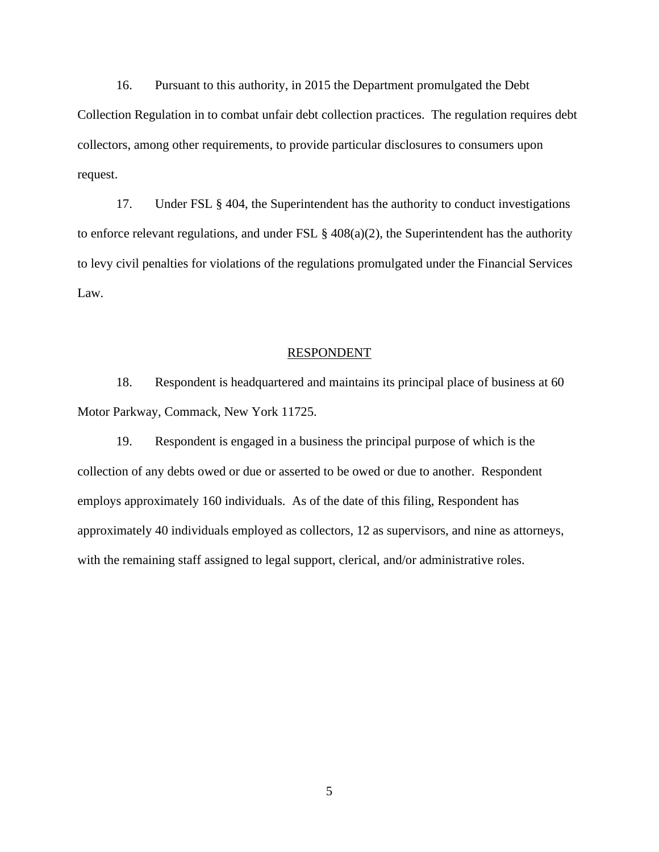16. Pursuant to this authority, in 2015 the Department promulgated the Debt Collection Regulation in to combat unfair debt collection practices. The regulation requires debt collectors, among other requirements, to provide particular disclosures to consumers upon request.

17. Under FSL § 404, the Superintendent has the authority to conduct investigations to enforce relevant regulations, and under FSL  $\S$  408(a)(2), the Superintendent has the authority to levy civil penalties for violations of the regulations promulgated under the Financial Services Law.

#### RESPONDENT

18. Respondent is headquartered and maintains its principal place of business at 60 Motor Parkway, Commack, New York 11725.

19. Respondent is engaged in a business the principal purpose of which is the collection of any debts owed or due or asserted to be owed or due to another. Respondent employs approximately 160 individuals. As of the date of this filing, Respondent has approximately 40 individuals employed as collectors, 12 as supervisors, and nine as attorneys, with the remaining staff assigned to legal support, clerical, and/or administrative roles.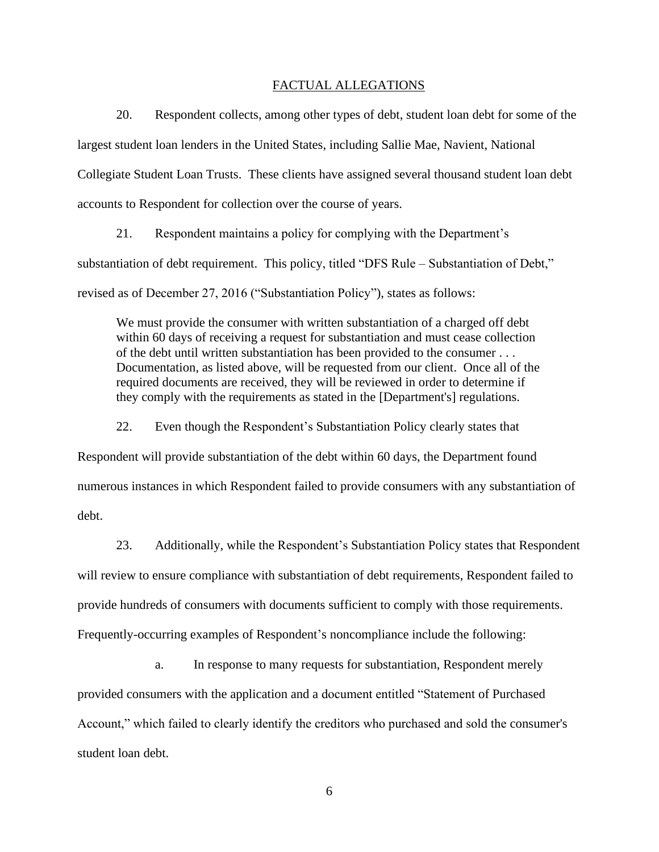#### FACTUAL ALLEGATIONS

20. Respondent collects, among other types of debt, student loan debt for some of the largest student loan lenders in the United States, including Sallie Mae, Navient, National Collegiate Student Loan Trusts. These clients have assigned several thousand student loan debt accounts to Respondent for collection over the course of years.

21. Respondent maintains a policy for complying with the Department's substantiation of debt requirement. This policy, titled "DFS Rule – Substantiation of Debt," revised as of December 27, 2016 ("Substantiation Policy"), states as follows:

We must provide the consumer with written substantiation of a charged off debt within 60 days of receiving a request for substantiation and must cease collection of the debt until written substantiation has been provided to the consumer . . . Documentation, as listed above, will be requested from our client. Once all of the required documents are received, they will be reviewed in order to determine if they comply with the requirements as stated in the [Department's] regulations.

22. Even though the Respondent's Substantiation Policy clearly states that Respondent will provide substantiation of the debt within 60 days, the Department found numerous instances in which Respondent failed to provide consumers with any substantiation of debt.

23. Additionally, while the Respondent's Substantiation Policy states that Respondent will review to ensure compliance with substantiation of debt requirements, Respondent failed to provide hundreds of consumers with documents sufficient to comply with those requirements. Frequently-occurring examples of Respondent's noncompliance include the following:

a. In response to many requests for substantiation, Respondent merely provided consumers with the application and a document entitled "Statement of Purchased Account," which failed to clearly identify the creditors who purchased and sold the consumer's student loan debt.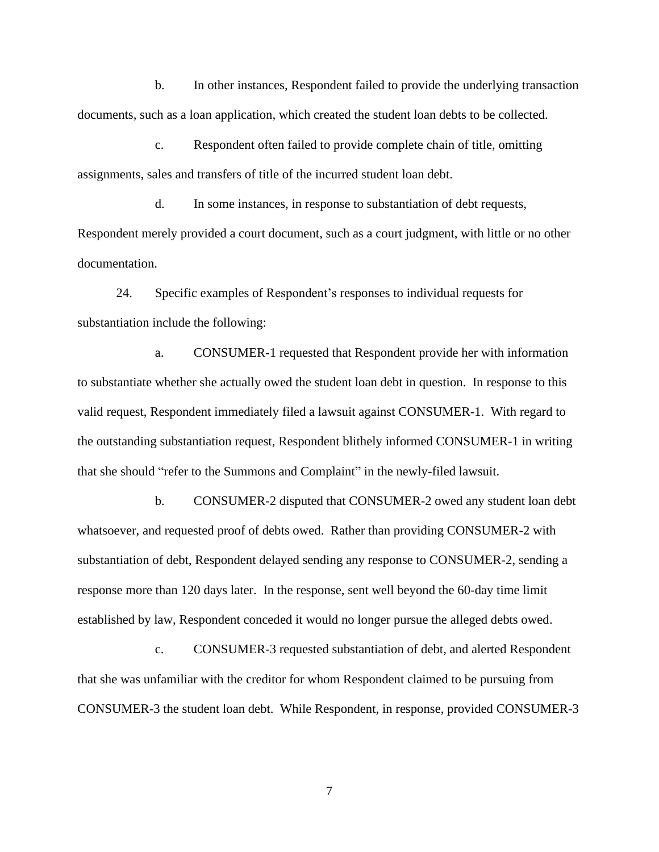b. In other instances, Respondent failed to provide the underlying transaction documents, such as a loan application, which created the student loan debts to be collected.

c. Respondent often failed to provide complete chain of title, omitting assignments, sales and transfers of title of the incurred student loan debt.

d. In some instances, in response to substantiation of debt requests, Respondent merely provided a court document, such as a court judgment, with little or no other documentation.

24. Specific examples of Respondent's responses to individual requests for substantiation include the following:

a. CONSUMER-1 requested that Respondent provide her with information to substantiate whether she actually owed the student loan debt in question. In response to this valid request, Respondent immediately filed a lawsuit against CONSUMER-1. With regard to the outstanding substantiation request, Respondent blithely informed CONSUMER-1 in writing that she should "refer to the Summons and Complaint" in the newly-filed lawsuit.

b. CONSUMER-2 disputed that CONSUMER-2 owed any student loan debt whatsoever, and requested proof of debts owed. Rather than providing CONSUMER-2 with substantiation of debt, Respondent delayed sending any response to CONSUMER-2, sending a response more than 120 days later. In the response, sent well beyond the 60-day time limit established by law, Respondent conceded it would no longer pursue the alleged debts owed.

c. CONSUMER-3 requested substantiation of debt, and alerted Respondent that she was unfamiliar with the creditor for whom Respondent claimed to be pursuing from CONSUMER-3 the student loan debt. While Respondent, in response, provided CONSUMER-3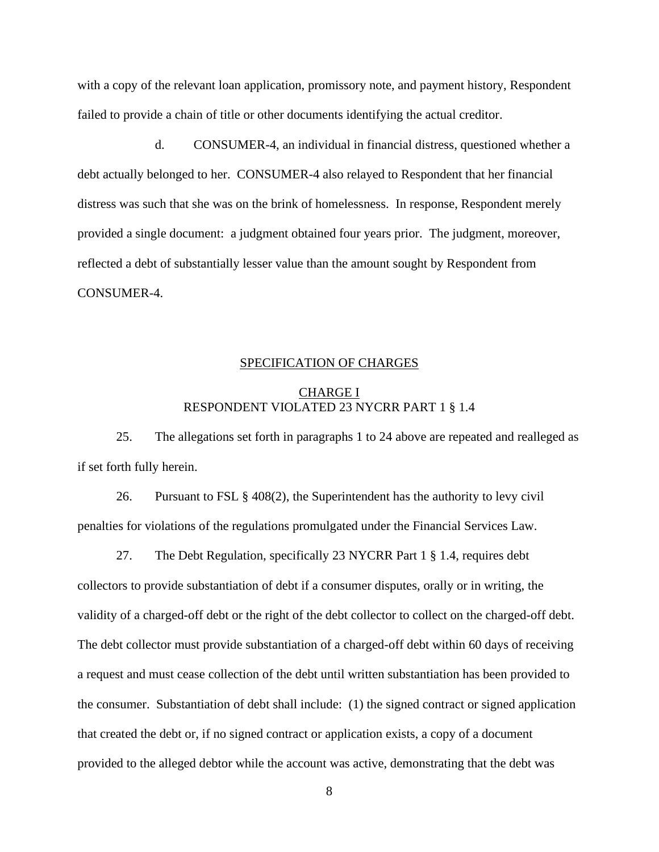with a copy of the relevant loan application, promissory note, and payment history, Respondent failed to provide a chain of title or other documents identifying the actual creditor.

d. CONSUMER-4, an individual in financial distress, questioned whether a debt actually belonged to her. CONSUMER-4 also relayed to Respondent that her financial distress was such that she was on the brink of homelessness. In response, Respondent merely provided a single document: a judgment obtained four years prior. The judgment, moreover, reflected a debt of substantially lesser value than the amount sought by Respondent from CONSUMER-4.

### SPECIFICATION OF CHARGES

## CHARGE I RESPONDENT VIOLATED 23 NYCRR PART 1 § 1.4

25. The allegations set forth in paragraphs 1 to 24 above are repeated and realleged as if set forth fully herein.

26. Pursuant to FSL § 408(2), the Superintendent has the authority to levy civil penalties for violations of the regulations promulgated under the Financial Services Law.

27. The Debt Regulation, specifically 23 NYCRR Part 1 § 1.4, requires debt collectors to provide substantiation of debt if a consumer disputes, orally or in writing, the validity of a charged-off debt or the right of the debt collector to collect on the charged-off debt. The debt collector must provide substantiation of a charged-off debt within 60 days of receiving a request and must cease collection of the debt until written substantiation has been provided to the consumer. Substantiation of debt shall include: (1) the signed contract or signed application that created the debt or, if no signed contract or application exists, a copy of a document provided to the alleged debtor while the account was active, demonstrating that the debt was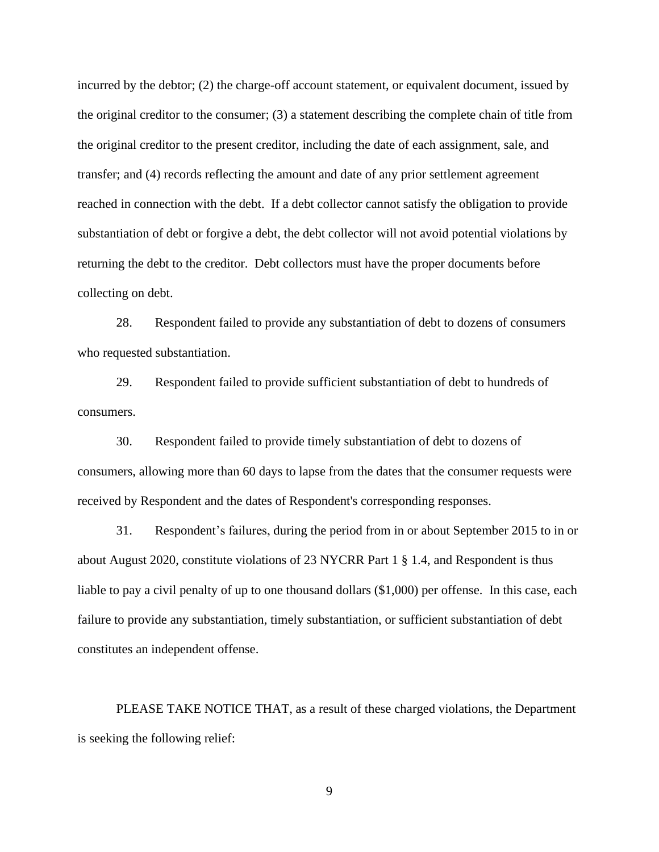incurred by the debtor; (2) the charge-off account statement, or equivalent document, issued by the original creditor to the consumer; (3) a statement describing the complete chain of title from the original creditor to the present creditor, including the date of each assignment, sale, and transfer; and (4) records reflecting the amount and date of any prior settlement agreement reached in connection with the debt. If a debt collector cannot satisfy the obligation to provide substantiation of debt or forgive a debt, the debt collector will not avoid potential violations by returning the debt to the creditor. Debt collectors must have the proper documents before collecting on debt.

28. Respondent failed to provide any substantiation of debt to dozens of consumers who requested substantiation.

29. Respondent failed to provide sufficient substantiation of debt to hundreds of consumers.

30. Respondent failed to provide timely substantiation of debt to dozens of consumers, allowing more than 60 days to lapse from the dates that the consumer requests were received by Respondent and the dates of Respondent's corresponding responses.

31. Respondent's failures, during the period from in or about September 2015 to in or about August 2020, constitute violations of 23 NYCRR Part 1 § 1.4, and Respondent is thus liable to pay a civil penalty of up to one thousand dollars (\$1,000) per offense. In this case, each failure to provide any substantiation, timely substantiation, or sufficient substantiation of debt constitutes an independent offense.

PLEASE TAKE NOTICE THAT, as a result of these charged violations, the Department is seeking the following relief: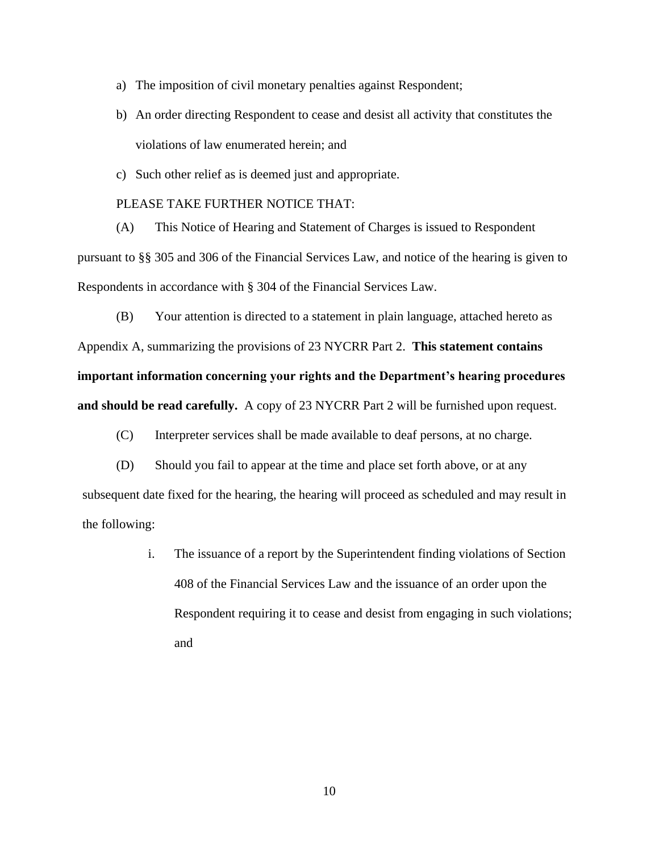- a) The imposition of civil monetary penalties against Respondent;
- b) An order directing Respondent to cease and desist all activity that constitutes the violations of law enumerated herein; and
- c) Such other relief as is deemed just and appropriate.

## PLEASE TAKE FURTHER NOTICE THAT:

(A) This Notice of Hearing and Statement of Charges is issued to Respondent pursuant to §§ 305 and 306 of the Financial Services Law, and notice of the hearing is given to Respondents in accordance with § 304 of the Financial Services Law.

(B) Your attention is directed to a statement in plain language, attached hereto as Appendix A, summarizing the provisions of 23 NYCRR Part 2. **This statement contains important information concerning your rights and the Department's hearing procedures and should be read carefully.** A copy of 23 NYCRR Part 2 will be furnished upon request.

(C) Interpreter services shall be made available to deaf persons, at no charge.

(D) Should you fail to appear at the time and place set forth above, or at any subsequent date fixed for the hearing, the hearing will proceed as scheduled and may result in the following:

> i. The issuance of a report by the Superintendent finding violations of Section 408 of the Financial Services Law and the issuance of an order upon the Respondent requiring it to cease and desist from engaging in such violations; and